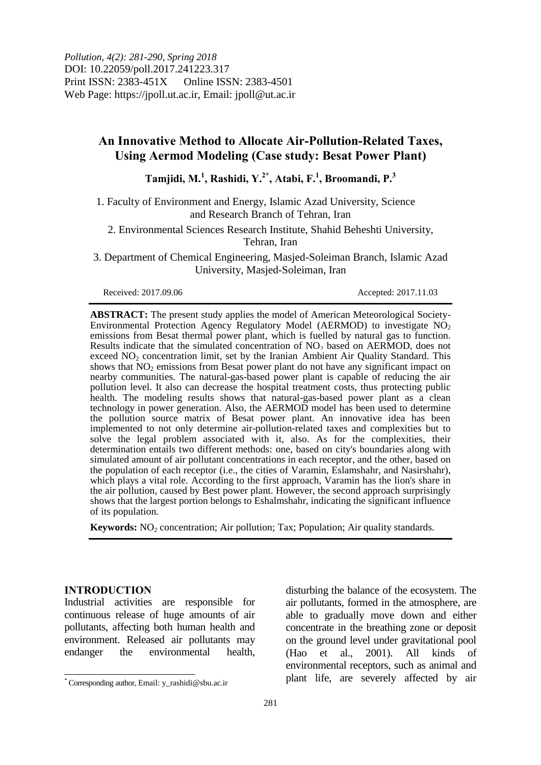*Pollution, 4(2): 281-290, Spring 2018* DOI: 10.22059/poll.2017.241223.317 Print ISSN: 2383-451X Online ISSN: 2383-4501 Web Page: https://jpoll.ut.ac.ir, Email: jpoll@ut.ac.ir

# **An Innovative Method to Allocate Air-Pollution-Related Taxes, Using Aermod Modeling (Case study: Besat Power Plant)**

**Tamjidi, M.<sup>1</sup> , Rashidi, Y.2\*, Atabi, F.<sup>1</sup> , Broomandi, P.<sup>3</sup>**

1. Faculty of Environment and Energy, Islamic Azad University, Science and Research Branch of Tehran, Iran

2. Environmental Sciences Research Institute, Shahid Beheshti University, Tehran, Iran

3. Department of Chemical Engineering, Masjed-Soleiman Branch, Islamic Azad University, Masjed-Soleiman, Iran

Received: 2017.09.06 Accepted: 2017.11.03

**ABSTRACT:** The present study applies the model of American Meteorological Society-Environmental Protection Agency Regulatory Model (AERMOD) to investigate  $N\dot{O}_2$ emissions from Besat thermal power plant, which is fuelled by natural gas to function. Results indicate that the simulated concentration of  $NO<sub>2</sub>$  based on AERMOD, does not exceed  $NO<sub>2</sub>$  concentration limit, set by the Iranian Ambient Air Quality Standard. This shows that  $\overline{NO_2}$  emissions from Besat power plant do not have any significant impact on nearby communities. The natural-gas-based power plant is capable of reducing the air pollution level. It also can decrease the hospital treatment costs, thus protecting public health. The modeling results shows that natural-gas-based power plant as a clean technology in power generation. Also, the AERMOD model has been used to determine the pollution source matrix of Besat power plant. An innovative idea has been implemented to not only determine air-pollution-related taxes and complexities but to solve the legal problem associated with it, also. As for the complexities, their determination entails two different methods: one, based on city's boundaries along with simulated amount of air pollutant concentrations in each receptor, and the other, based on the population of each receptor (i.e., the cities of Varamin, Eslamshahr, and Nasirshahr), which plays a vital role. According to the first approach, Varamin has the lion's share in the air pollution, caused by Best power plant. However, the second approach surprisingly shows that the largest portion belongs to Eshalmshahr, indicating the significant influence of its population.

**Keywords:** NO<sub>2</sub> concentration; Air pollution; Tax; Population; Air quality standards.

#### **INTRODUCTION**

 $\overline{\phantom{a}}$ 

Industrial activities are responsible for continuous release of huge amounts of air pollutants, affecting both human health and environment. Released air pollutants may endanger the environmental health,

disturbing the balance of the ecosystem. The air pollutants, formed in the atmosphere, are able to gradually move down and either concentrate in the breathing zone or deposit on the ground level under gravitational pool (Hao et al., 2001). All kinds of environmental receptors, such as animal and plant life, are severely affected by air

<sup>\*</sup> Corresponding author, Email: y\_rashidi@sbu.ac.ir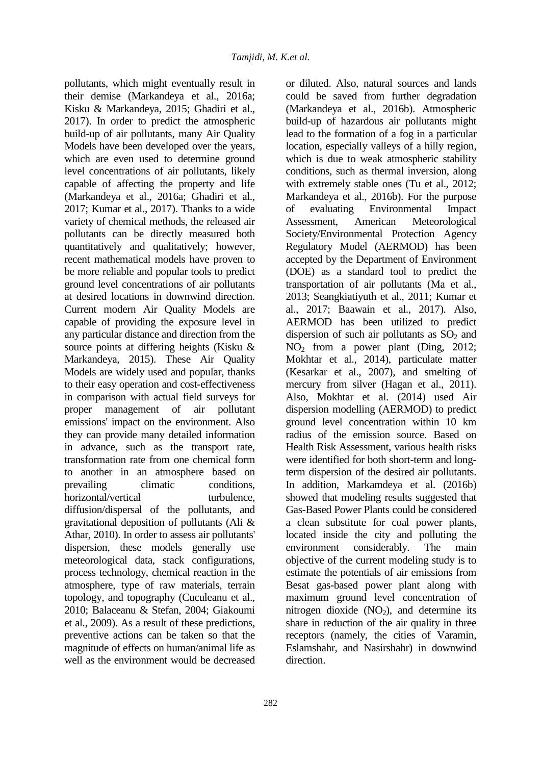pollutants, which might eventually result in their demise (Markandeya et al., 2016a; Kisku & Markandeya, 2015; Ghadiri et al., 2017). In order to predict the atmospheric build-up of air pollutants, many Air Quality Models have been developed over the years, which are even used to determine ground level concentrations of air pollutants, likely capable of affecting the property and life (Markandeya et al., 2016a; Ghadiri et al., 2017; Kumar et al., 2017). Thanks to a wide variety of chemical methods, the released air pollutants can be directly measured both quantitatively and qualitatively; however, recent mathematical models have proven to be more reliable and popular tools to predict ground level concentrations of air pollutants at desired locations in downwind direction. Current modern Air Quality Models are capable of providing the exposure level in any particular distance and direction from the source points at differing heights (Kisku & Markandeya, 2015). These Air Quality Models are widely used and popular, thanks to their easy operation and cost-effectiveness in comparison with actual field surveys for proper management of air pollutant emissions' impact on the environment. Also they can provide many detailed information in advance, such as the transport rate, transformation rate from one chemical form to another in an atmosphere based on prevailing climatic conditions, horizontal/vertical turbulence, diffusion/dispersal of the pollutants, and gravitational deposition of pollutants (Ali & Athar, 2010). In order to assess air pollutants' dispersion, these models generally use meteorological data, stack configurations, process technology, chemical reaction in the atmosphere, type of raw materials, terrain topology, and topography (Cuculeanu et al., 2010; Balaceanu & Stefan, 2004; Giakoumi et al., 2009). As a result of these predictions, preventive actions can be taken so that the magnitude of effects on human/animal life as well as the environment would be decreased

or diluted. Also, natural sources and lands could be saved from further degradation (Markandeya et al., 2016b). Atmospheric build-up of hazardous air pollutants might lead to the formation of a fog in a particular location, especially valleys of a hilly region, which is due to weak atmospheric stability conditions, such as thermal inversion, along with extremely stable ones (Tu et al., 2012; Markandeya et al., 2016b). For the purpose of evaluating Environmental Impact Assessment, American Meteorological Society/Environmental Protection Agency Regulatory Model (AERMOD) has been accepted by the Department of Environment (DOE) as a standard tool to predict the transportation of air pollutants (Ma et al., 2013; Seangkiatiyuth et al., 2011; Kumar et al., 2017; Baawain et al., 2017). Also, AERMOD has been utilized to predict dispersion of such air pollutants as  $SO<sub>2</sub>$  and NO<sup>2</sup> from a power plant (Ding, 2012; Mokhtar et al., 2014), particulate matter (Kesarkar et al., 2007), and smelting of mercury from silver (Hagan et al., 2011). Also, Mokhtar et al. (2014) used Air dispersion modelling (AERMOD) to predict ground level concentration within 10 km radius of the emission source. Based on Health Risk Assessment, various health risks were identified for both short-term and longterm dispersion of the desired air pollutants. In addition, Markamdeya et al. (2016b) showed that modeling results suggested that Gas-Based Power Plants could be considered a clean substitute for coal power plants, located inside the city and polluting the environment considerably. The main objective of the current modeling study is to estimate the potentials of air emissions from Besat gas-based power plant along with maximum ground level concentration of nitrogen dioxide  $(NO<sub>2</sub>)$ , and determine its share in reduction of the air quality in three receptors (namely, the cities of Varamin, Eslamshahr, and Nasirshahr) in downwind direction.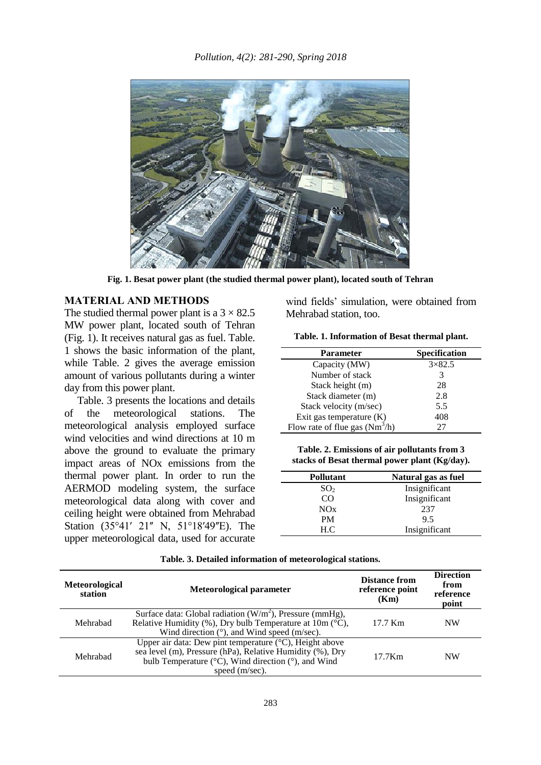

**Fig. 1. Besat power plant (the studied thermal power plant), located south of Tehran**

## **MATERIAL AND METHODS**

The studied thermal power plant is a  $3 \times 82.5$ MW power plant, located south of Tehran (Fig. 1). It receives natural gas as fuel. Table. 1 shows the basic information of the plant, while Table. 2 gives the average emission amount of various pollutants during a winter day from this power plant.

Table. 3 presents the locations and details of the meteorological stations. The meteorological analysis employed surface wind velocities and wind directions at 10 m above the ground to evaluate the primary impact areas of NOx emissions from the thermal power plant. In order to run the AERMOD modeling system, the surface meteorological data along with cover and ceiling height were obtained from Mehrabad Station (35°41′ 21″ N, 51°18′49″E). The upper meteorological data, used for accurate

wind fields' simulation, were obtained from Mehrabad station, too.

| <b>Parameter</b>                 | Specification |
|----------------------------------|---------------|
| Capacity (MW)                    | $3\times82.5$ |
| Number of stack                  | 3             |
| Stack height (m)                 | 28            |
| Stack diameter (m)               | 2.8           |
| Stack velocity (m/sec)           | 5.5           |
| Exit gas temperature (K)         | 408           |
| Flow rate of flue gas $(Nm^3/h)$ | 27            |

**Table. 2. Emissions of air pollutants from 3 stacks of Besat thermal power plant (Kg/day).**

| <b>Pollutant</b> | Natural gas as fuel |  |
|------------------|---------------------|--|
| SO <sub>2</sub>  | Insignificant       |  |
| CO               | Insignificant       |  |
| NOx              | 237                 |  |
| <b>PM</b>        | 9.5                 |  |
| H.C.             | Insignificant       |  |

| <b>Meteorological</b><br>station | Meteorological parameter                                                                                                                                                                                                            | <b>Distance from</b><br>reference point<br>(Km) | <b>Direction</b><br>from<br>reference<br>point |
|----------------------------------|-------------------------------------------------------------------------------------------------------------------------------------------------------------------------------------------------------------------------------------|-------------------------------------------------|------------------------------------------------|
| Mehrabad                         | Surface data: Global radiation $(W/m^2)$ , Pressure (mmHg),<br>Relative Humidity (%), Dry bulb Temperature at $10m$ ( $\overline{C}$ ),<br>Wind direction $(°)$ , and Wind speed (m/sec).                                           | 17.7 Km                                         | <b>NW</b>                                      |
| Mehrabad                         | Upper air data: Dew pint temperature $(°C)$ , Height above<br>sea level (m), Pressure (hPa), Relative Humidity (%), Dry<br>bulb Temperature ( $\rm{^{\circ}C}$ ), Wind direction ( $\rm{^{\circ}}$ ), and Wind<br>speed $(m/sec)$ . | $17.7$ Km                                       | <b>NW</b>                                      |

**Table. 3. Detailed information of meteorological stations.**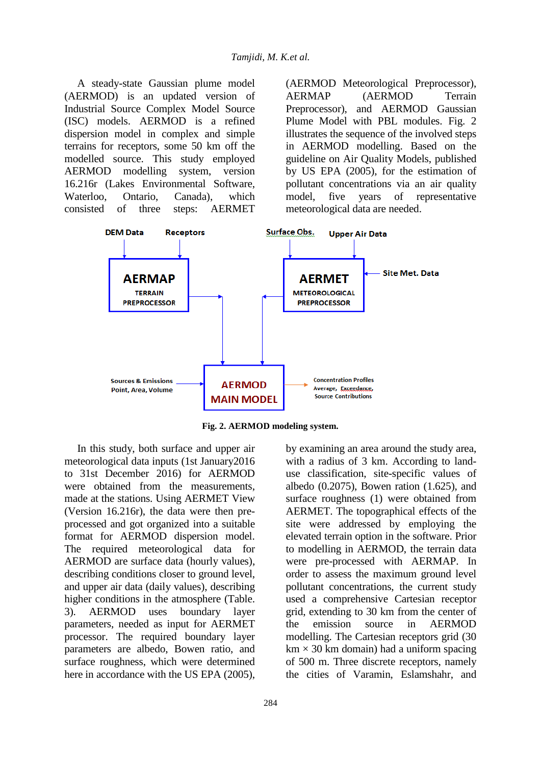A steady-state Gaussian plume model (AERMOD) is an updated version of Industrial Source Complex Model Source (ISC) models. AERMOD is a refined dispersion model in complex and simple terrains for receptors, some 50 km off the modelled source. This study employed AERMOD modelling system, version 16.216r (Lakes Environmental Software, Waterloo, Ontario, Canada), which consisted of three steps: AERMET

(AERMOD Meteorological Preprocessor), AERMAP (AERMOD Terrain Preprocessor), and AERMOD Gaussian Plume Model with PBL modules. Fig. 2 illustrates the sequence of the involved steps in AERMOD modelling. Based on the guideline on Air Quality Models, published by US EPA (2005), for the estimation of pollutant concentrations via an air quality model, five years of representative meteorological data are needed.



**Fig. 2. AERMOD modeling system.**

In this study, both surface and upper air meteorological data inputs (1st January2016 to 31st December 2016) for AERMOD were obtained from the measurements, made at the stations. Using AERMET View (Version 16.216r), the data were then preprocessed and got organized into a suitable format for AERMOD dispersion model. The required meteorological data for AERMOD are surface data (hourly values), describing conditions closer to ground level, and upper air data (daily values), describing higher conditions in the atmosphere (Table. 3). AERMOD uses boundary layer parameters, needed as input for AERMET processor. The required boundary layer parameters are albedo, Bowen ratio, and surface roughness, which were determined here in accordance with the US EPA (2005),

by examining an area around the study area, with a radius of 3 km. According to landuse classification, site-specific values of albedo (0.2075), Bowen ration (1.625), and surface roughness (1) were obtained from AERMET. The topographical effects of the site were addressed by employing the elevated terrain option in the software. Prior to modelling in AERMOD, the terrain data were pre-processed with AERMAP. In order to assess the maximum ground level pollutant concentrations, the current study used a comprehensive Cartesian receptor grid, extending to 30 km from the center of the emission source in AERMOD modelling. The Cartesian receptors grid (30  $km \times 30$  km domain) had a uniform spacing of 500 m. Three discrete receptors, namely the cities of Varamin, Eslamshahr, and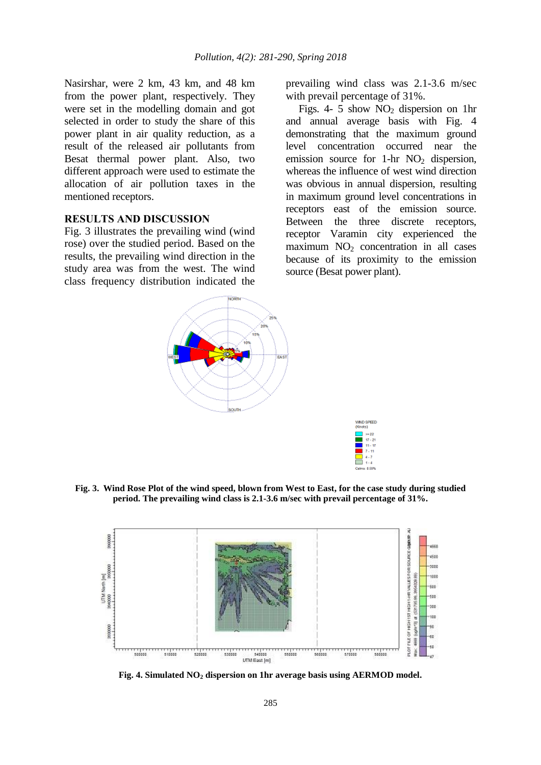Nasirshar, were 2 km, 43 km, and 48 km from the power plant, respectively. They were set in the modelling domain and got selected in order to study the share of this power plant in air quality reduction, as a result of the released air pollutants from Besat thermal power plant. Also, two different approach were used to estimate the allocation of air pollution taxes in the mentioned receptors.

## **RESULTS AND DISCUSSION**

Fig. 3 illustrates the prevailing wind (wind rose) over the studied period. Based on the results, the prevailing wind direction in the study area was from the west. The wind class frequency distribution indicated the

prevailing wind class was 2.1-3.6 m/sec with prevail percentage of 31%.

Figs. 4- 5 show  $NO<sub>2</sub>$  dispersion on 1hr and annual average basis with Fig. 4 demonstrating that the maximum ground level concentration occurred near the emission source for 1-hr  $NO<sub>2</sub>$  dispersion, whereas the influence of west wind direction was obvious in annual dispersion, resulting in maximum ground level concentrations in receptors east of the emission source. Between the three discrete receptors, receptor Varamin city experienced the maximum  $NO<sub>2</sub>$  concentration in all cases because of its proximity to the emission source (Besat power plant).



**Fig. 3. Wind Rose Plot of the wind speed, blown from West to East, for the case study during studied period. The prevailing wind class is 2.1-3.6 m/sec with prevail percentage of 31%.**



**Fig. 4. Simulated NO<sup>2</sup> dispersion on 1hr average basis using AERMOD model.**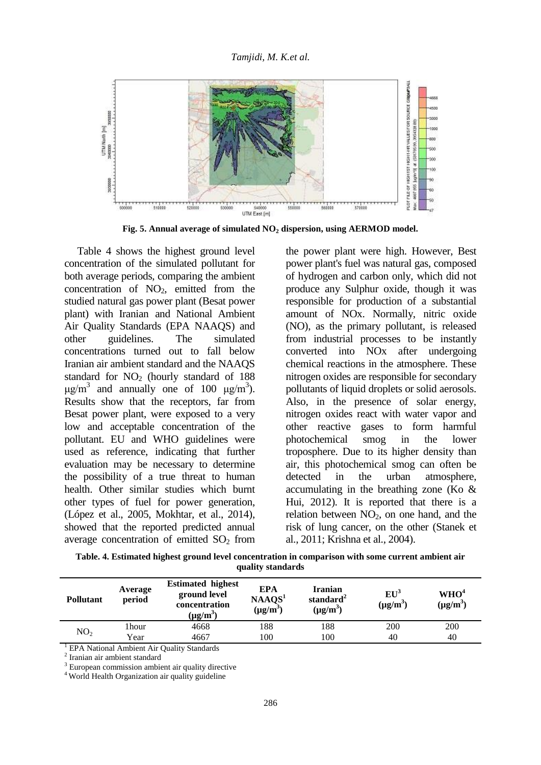

**Fig. 5. Annual average of simulated NO<sup>2</sup> dispersion, using AERMOD model.**

Table 4 shows the highest ground level concentration of the simulated pollutant for both average periods, comparing the ambient concentration of  $NO<sub>2</sub>$ , emitted from the studied natural gas power plant (Besat power plant) with Iranian and National Ambient Air Quality Standards (EPA NAAQS) and other guidelines. The simulated concentrations turned out to fall below Iranian air ambient standard and the NAAQS standard for  $NO<sub>2</sub>$  (hourly standard of 188)  $\mu$ g/m<sup>3</sup> and annually one of 100  $\mu$ g/m<sup>3</sup>). Results show that the receptors, far from Besat power plant, were exposed to a very low and acceptable concentration of the pollutant. EU and WHO guidelines were used as reference, indicating that further evaluation may be necessary to determine the possibility of a true threat to human health. Other similar studies which burnt other types of fuel for power generation, (López et al., 2005, Mokhtar, et al., 2014), showed that the reported predicted annual average concentration of emitted  $SO<sub>2</sub>$  from

the power plant were high. However, Best power plant's fuel was natural gas, composed of hydrogen and carbon only, which did not produce any Sulphur oxide, though it was responsible for production of a substantial amount of NOx. Normally, nitric oxide (NO), as the primary pollutant, is released from industrial processes to be instantly converted into NOx after undergoing chemical reactions in the atmosphere. These nitrogen oxides are responsible for secondary pollutants of liquid droplets or solid aerosols. Also, in the presence of solar energy, nitrogen oxides react with water vapor and other reactive gases to form harmful photochemical smog in the lower troposphere. Due to its higher density than air, this photochemical smog can often be detected in the urban atmosphere, accumulating in the breathing zone (Ko & Hui, 2012). It is reported that there is a relation between  $NO<sub>2</sub>$ , on one hand, and the risk of lung cancer, on the other (Stanek et al., 2011; Krishna et al., 2004).

| Table. 4. Estimated highest ground level concentration in comparison with some current ambient air |
|----------------------------------------------------------------------------------------------------|
| quality standards                                                                                  |

| <b>Pollutant</b> | Average<br>period | <b>Estimated highest</b><br>ground level<br>concentration<br>$(\mu g/m^3)$ | <b>EPA</b><br>NAAQS <sup>1</sup><br>$(\mu g/m^3)$ | <b>Iranian</b><br>standard <sup>2</sup><br>$(\mu g/m^3)$ | $EU^3$<br>$(\mu g/m^3)$ | WHO <sup>4</sup><br>$(\mu g/m^3)$ |
|------------------|-------------------|----------------------------------------------------------------------------|---------------------------------------------------|----------------------------------------------------------|-------------------------|-----------------------------------|
| NO <sub>2</sub>  | 1hour             | 4668                                                                       | 188                                               | 188                                                      | 200                     | 200                               |
|                  | Year              | 4667                                                                       | 100                                               | 100                                                      | 40                      | 40                                |
| ___ _ _ _        |                   |                                                                            |                                                   |                                                          |                         |                                   |

<sup>1</sup> EPA National Ambient Air Quality Standards

<sup>2</sup> Iranian air ambient standard

<sup>3</sup> European commission ambient air quality directive

<sup>4</sup> World Health Organization air quality guideline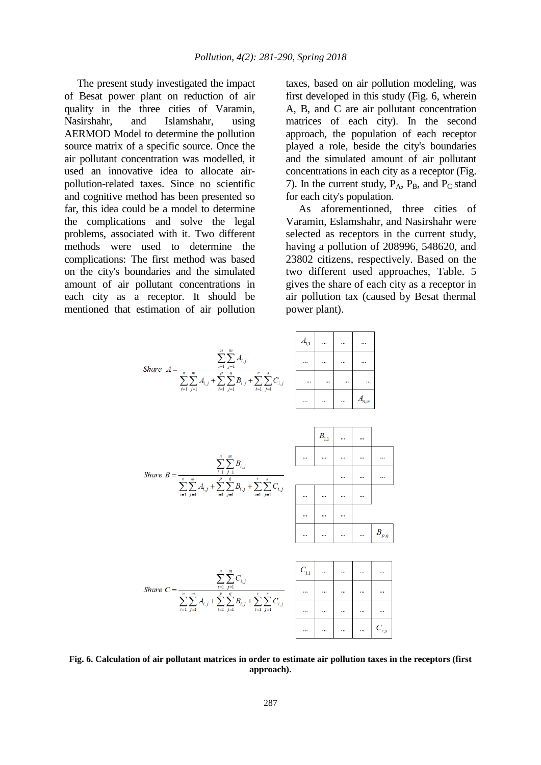The present study investigated the impact of Besat power plant on reduction of air quality in the three cities of Varamin, Nasirshahr, and Islamshahr, using AERMOD Model to determine the pollution source matrix of a specific source. Once the air pollutant concentration was modelled, it used an innovative idea to allocate airpollution-related taxes. Since no scientific and cognitive method has been presented so far, this idea could be a model to determine the complications and solve the legal problems, associated with it. Two different methods were used to determine the complications: The first method was based on the city's boundaries and the simulated amount of air pollutant concentrations in each city as a receptor. It should be mentioned that estimation of air pollution taxes, based on air pollution modeling, was first developed in this study (Fig. 6, wherein A, B, and C are air pollutant concentration matrices of each city). In the second approach, the population of each receptor played a role, beside the city's boundaries and the simulated amount of air pollutant concentrations in each city as a receptor (Fig. 7). In the current study,  $P_A$ ,  $P_B$ , and  $P_C$  stand for each city's population.

As aforementioned, three cities of Varamin, Eslamshahr, and Nasirshahr were selected as receptors in the current study, having a pollution of 208996, 548620, and 23802 citizens, respectively. Based on the two different used approaches, Table. 5 gives the share of each city as a receptor in air pollution tax (caused by Besat thermal power plant).



**Fig. 6. Calculation of air pollutant matrices in order to estimate air pollution taxes in the receptors (first approach).**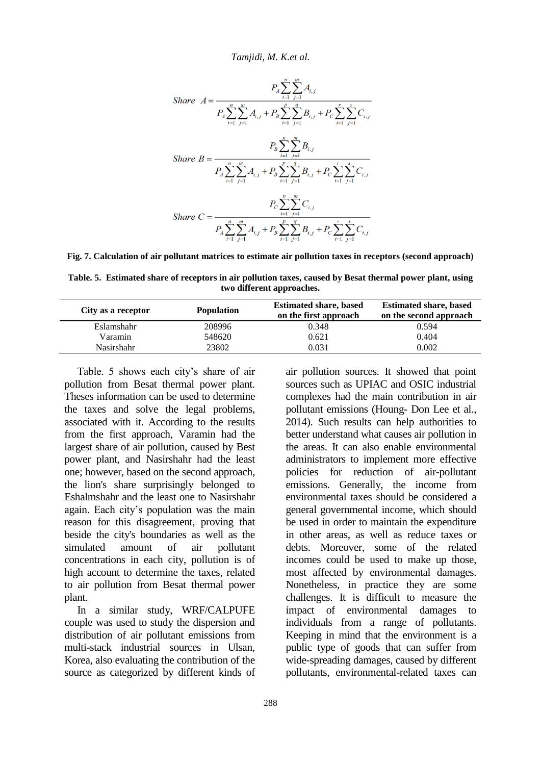*Tamjidi, M. K.et al.*

$$
B_{A} \sum_{i=1}^{n} \sum_{j=1}^{m} A_{i,j}
$$
\n
$$
B_{A} \sum_{i=1}^{n} \sum_{j=1}^{m} A_{i,j} + P_{B} \sum_{i=1}^{p} \sum_{j=1}^{q} B_{i,j} + P_{C} \sum_{i=1}^{r} \sum_{j=1}^{s} C_{i,j}
$$
\n
$$
P_{B} \sum_{i=1}^{n} \sum_{j=1}^{m} B_{i,j}
$$
\n
$$
S_{A} \sum_{i=1}^{n} \sum_{j=1}^{m} A_{i,j} + P_{B} \sum_{i=1}^{p} \sum_{j=1}^{q} B_{i,j} + P_{C} \sum_{i=1}^{r} \sum_{j=1}^{s} C_{i,j}
$$
\n
$$
P_{C} \sum_{i=1}^{n} \sum_{j=1}^{m} C_{i,j}
$$
\n
$$
S_{A} \sum_{i=1}^{n} \sum_{j=1}^{m} A_{i,j} + P_{B} \sum_{i=1}^{p} \sum_{j=1}^{q} B_{i,j} + P_{C} \sum_{i=1}^{r} \sum_{j=1}^{s} C_{i,j}
$$

**Fig. 7. Calculation of air pollutant matrices to estimate air pollution taxes in receptors (second approach)**

**Table. 5. Estimated share of receptors in air pollution taxes, caused by Besat thermal power plant, using two different approaches.**

| City as a receptor | <b>Population</b> | <b>Estimated share, based</b><br>on the first approach | <b>Estimated share, based</b><br>on the second approach |
|--------------------|-------------------|--------------------------------------------------------|---------------------------------------------------------|
| <b>Eslamshahr</b>  | 208996            | 0.348                                                  | 0.594                                                   |
| Varamin            | 548620            | 0.621                                                  | 0.404                                                   |
| <b>Nasirshahr</b>  | 23802             | 0.031                                                  | 0.002                                                   |

Table. 5 shows each city's share of air pollution from Besat thermal power plant. Theses information can be used to determine the taxes and solve the legal problems, associated with it. According to the results from the first approach, Varamin had the largest share of air pollution, caused by Best power plant, and Nasirshahr had the least one; however, based on the second approach, the lion's share surprisingly belonged to Eshalmshahr and the least one to Nasirshahr again. Each city's population was the main reason for this disagreement, proving that beside the city's boundaries as well as the simulated amount of air pollutant concentrations in each city, pollution is of high account to determine the taxes, related to air pollution from Besat thermal power plant.

In a similar study, WRF/CALPUFE couple was used to study the dispersion and distribution of air pollutant emissions from multi-stack industrial sources in Ulsan, Korea, also evaluating the contribution of the source as categorized by different kinds of

air pollution sources. It showed that point sources such as UPIAC and OSIC industrial complexes had the main contribution in air pollutant emissions (Houng- Don Lee et al., 2014). Such results can help authorities to better understand what causes air pollution in the areas. It can also enable environmental administrators to implement more effective policies for reduction of air-pollutant emissions. Generally, the income from environmental taxes should be considered a general governmental income, which should be used in order to maintain the expenditure in other areas, as well as reduce taxes or debts. Moreover, some of the related incomes could be used to make up those, most affected by environmental damages. Nonetheless, in practice they are some challenges. It is difficult to measure the impact of environmental damages to individuals from a range of pollutants. Keeping in mind that the environment is a public type of goods that can suffer from wide-spreading damages, caused by different pollutants, environmental-related taxes can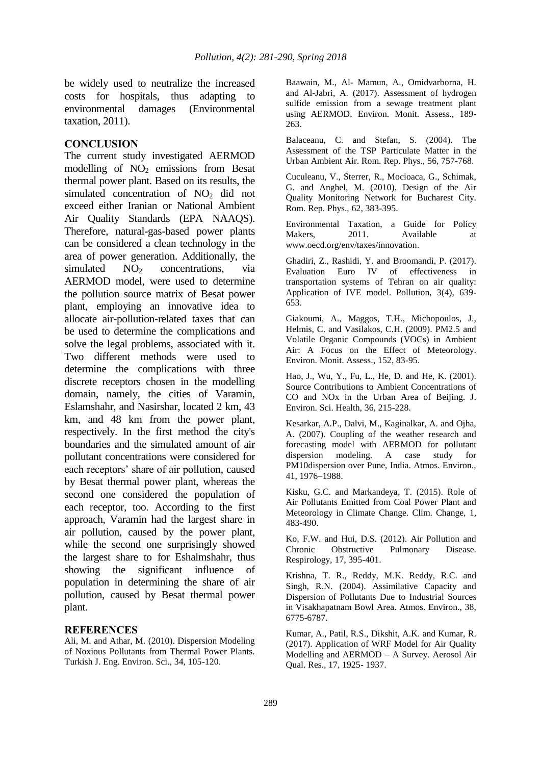be widely used to neutralize the increased costs for hospitals, thus adapting to environmental damages (Environmental taxation, 2011).

## **CONCLUSION**

The current study investigated AERMOD modelling of  $NO<sub>2</sub>$  emissions from Besat thermal power plant. Based on its results, the simulated concentration of  $NO<sub>2</sub>$  did not exceed either Iranian or National Ambient Air Quality Standards (EPA NAAQS). Therefore, natural-gas-based power plants can be considered a clean technology in the area of power generation. Additionally, the  $simulated$   $NO<sub>2</sub>$  concentrations, via AERMOD model, were used to determine the pollution source matrix of Besat power plant, employing an innovative idea to allocate air-pollution-related taxes that can be used to determine the complications and solve the legal problems, associated with it. Two different methods were used to determine the complications with three discrete receptors chosen in the modelling domain, namely, the cities of Varamin, Eslamshahr, and Nasirshar, located 2 km, 43 km, and 48 km from the power plant, respectively. In the first method the city's boundaries and the simulated amount of air pollutant concentrations were considered for each receptors' share of air pollution, caused by Besat thermal power plant, whereas the second one considered the population of each receptor, too. According to the first approach, Varamin had the largest share in air pollution, caused by the power plant, while the second one surprisingly showed the largest share to for Eshalmshahr, thus showing the significant influence of population in determining the share of air pollution, caused by Besat thermal power plant.

## **REFERENCES**

Ali, M. and Athar, M. (2010). Dispersion Modeling of Noxious Pollutants from Thermal Power Plants. Turkish J. Eng. Environ. Sci., 34, 105-120.

Baawain, M., Al- Mamun, A., Omidvarborna, H. and Al-Jabri, A. (2017). Assessment of hydrogen sulfide emission from a sewage treatment plant using AERMOD. Environ. Monit. Assess., 189- 263.

Balaceanu, C. and Stefan, S. (2004). The Assessment of the TSP Particulate Matter in the Urban Ambient Air. Rom. Rep. Phys., 56, 757-768.

Cuculeanu, V., Sterrer, R., Mocioaca, G., Schimak, G. and Anghel, M. (2010). Design of the Air Quality Monitoring Network for Bucharest City. Rom. Rep. Phys., 62, 383-395.

Environmental Taxation, a Guide for Policy Makers, 2011. Available at www.oecd.org/env/taxes/innovation.

Ghadiri, Z., Rashidi, Y. and Broomandi, P. (2017). Evaluation Euro IV of effectiveness in transportation systems of Tehran on air quality: Application of IVE model. Pollution, 3(4), 639- 653.

Giakoumi, A., Maggos, T.H., Michopoulos, J., Helmis, C. and Vasilakos, C.H. (2009). PM2.5 and Volatile Organic Compounds (VOCs) in Ambient Air: A Focus on the Effect of Meteorology. Environ. Monit. Assess., 152, 83-95.

Hao, J., Wu, Y., Fu, L., He, D. and He, K. (2001). Source Contributions to Ambient Concentrations of CO and NOx in the Urban Area of Beijing. J. Environ. Sci. Health, 36, 215-228.

Kesarkar, A.P., Dalvi, M., Kaginalkar, A. and Ojha, A. (2007). Coupling of the weather research and forecasting model with AERMOD for pollutant dispersion modeling. A case study for PM10dispersion over Pune, India. Atmos. Environ., 41, 1976–1988.

Kisku, G.C. and Markandeya, T. (2015). Role of Air Pollutants Emitted from Coal Power Plant and Meteorology in Climate Change. Clim. Change, 1, 483-490.

Ko, F.W. and Hui, D.S. (2012). Air Pollution and Chronic Obstructive Pulmonary Disease. Respirology, 17, 395-401.

Krishna, T. R., Reddy, M.K. Reddy, R.C. and Singh, R.N. (2004). Assimilative Capacity and Dispersion of Pollutants Due to Industrial Sources in Visakhapatnam Bowl Area. Atmos. Environ., 38, 6775-6787.

Kumar, A., Patil, R.S., Dikshit, A.K. and Kumar, R. (2017). Application of WRF Model for Air Quality Modelling and AERMOD – A Survey. Aerosol Air Qual. Res., 17, 1925- 1937.